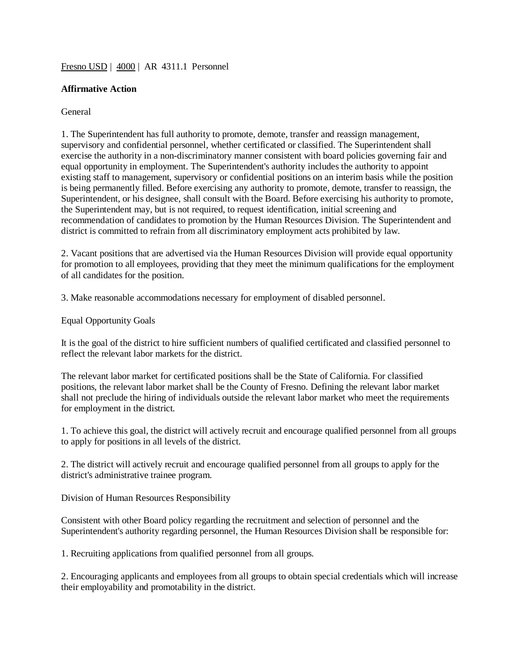## [Fresno USD](http://www.fresnounified.org/board/policies/Policies/fusd/loaddistrictpolicy/1050.htm) | [4000](http://www.fresnounified.org/board/policies/Policies/fusd/policycategorylist/1050/4.htm) | AR 4311.1 Personnel

## **Affirmative Action**

## General

1. The Superintendent has full authority to promote, demote, transfer and reassign management, supervisory and confidential personnel, whether certificated or classified. The Superintendent shall exercise the authority in a non-discriminatory manner consistent with board policies governing fair and equal opportunity in employment. The Superintendent's authority includes the authority to appoint existing staff to management, supervisory or confidential positions on an interim basis while the position is being permanently filled. Before exercising any authority to promote, demote, transfer to reassign, the Superintendent, or his designee, shall consult with the Board. Before exercising his authority to promote, the Superintendent may, but is not required, to request identification, initial screening and recommendation of candidates to promotion by the Human Resources Division. The Superintendent and district is committed to refrain from all discriminatory employment acts prohibited by law.

2. Vacant positions that are advertised via the Human Resources Division will provide equal opportunity for promotion to all employees, providing that they meet the minimum qualifications for the employment of all candidates for the position.

3. Make reasonable accommodations necessary for employment of disabled personnel.

Equal Opportunity Goals

It is the goal of the district to hire sufficient numbers of qualified certificated and classified personnel to reflect the relevant labor markets for the district.

The relevant labor market for certificated positions shall be the State of California. For classified positions, the relevant labor market shall be the County of Fresno. Defining the relevant labor market shall not preclude the hiring of individuals outside the relevant labor market who meet the requirements for employment in the district.

1. To achieve this goal, the district will actively recruit and encourage qualified personnel from all groups to apply for positions in all levels of the district.

2. The district will actively recruit and encourage qualified personnel from all groups to apply for the district's administrative trainee program.

Division of Human Resources Responsibility

Consistent with other Board policy regarding the recruitment and selection of personnel and the Superintendent's authority regarding personnel, the Human Resources Division shall be responsible for:

1. Recruiting applications from qualified personnel from all groups.

2. Encouraging applicants and employees from all groups to obtain special credentials which will increase their employability and promotability in the district.